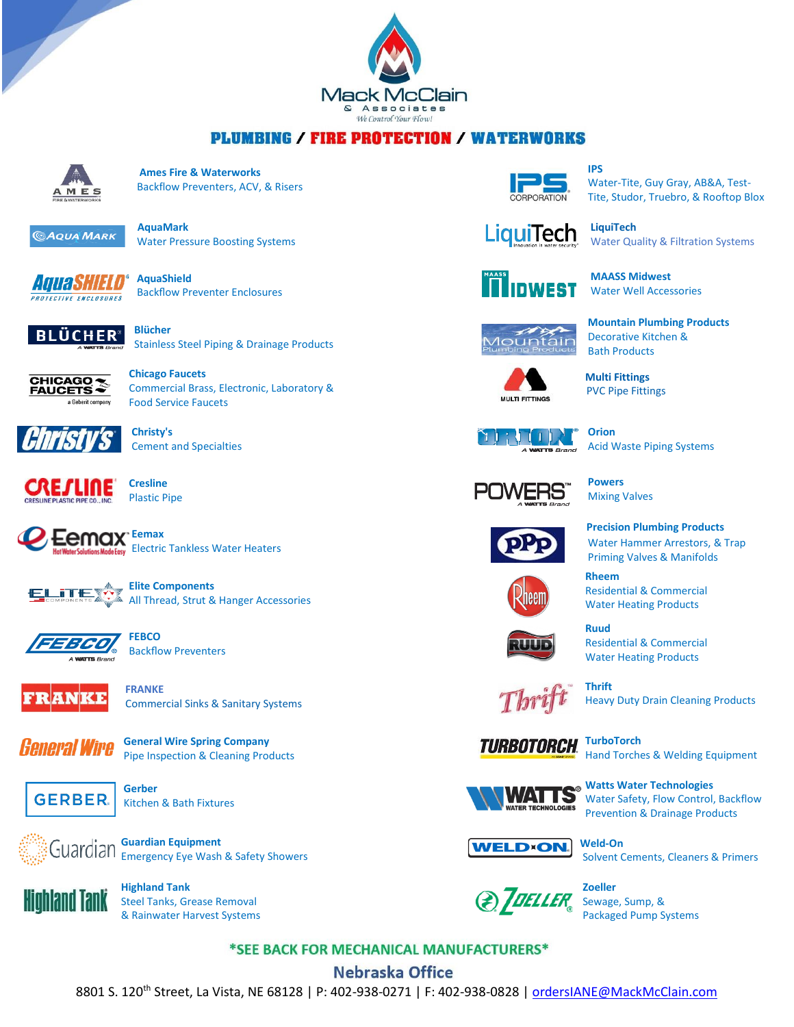

## **PLUMBING / FIRE PROTECTION / WATERWORKS**



 **Ames Fire & Waterworks**  $M \, \mathbf{E}$  **Backflow Preventers, ACV, & Risers** 



Water Pressure Boosting Systems







Stainless Steel Piping & Drainage Products



 Commercial Brass, Electronic, Laboratory & Food Service Faucets



 **Christy's** Cement and Specialties



Plastic Pipe











 **FRANKE** Commercial Sinks & Sanitary Systems



*General Wire* **General Wire Spring [Company](http://www.drainbrain.com/)** Pipe Inspection & Cleaning Products



Kitchen & Bath Fixtures



*Cuardian* Guardian Equipment  $\mathbb{E}_{\mathbb{E}}$   $\mathbb{U}$  UU OI UI OI I Emergency Eye Wash & Safety Showers



 Steel Tanks, Grease Removal & Rainwater Harvest Systems



 Water-Tite, Guy Gray, AB&A, Test- Tite, Studor, Truebro, & Rooftop Blox



Water Quality & Filtration Systems



 **MAASS Midwest** Water Well Accessories

 **Mountain Plumbing Products** Decorative Kitchen & Bath Products







Acid Waste Piping Systems

 **Multi Fittings**

 **Powers** Mixing Valves





 **Precision [Plumbing](http://www.pppinc.net/) Products** Water Hammer Arrestors, & Trap Priming Valves & Manifolds

 **Rheem** Residential & Commercial Water Heating Products



 Residential & Commercial Water Heating Products

**1** *C<sub>a</sub>* Thrift



**TURBOTORCH TurboTorch** Hand Torches & Welding Equipment



 **Watts Water Technologies** Water Safety, Flow Control, Backflow Prevention & Drainage Products



Solvent Cements, Cleaners & Primers

*<u>z*</u> *\_\_\_\_ z*oeller  $\mathcal{L}$  **Sewage, Sump, &** Packaged Pump Systems

\*SEE BACK FOR MECHANICAL MANUFACTURERS\*

## **Nebraska Office**

8801 S. 120<sup>th</sup> Street, La Vista, NE 68128 | P: 402-938-0271 | F: 402-938-0828 [| ordersIANE@MackMcClain.com](mailto:ordersIANE@MackMcClain.com)